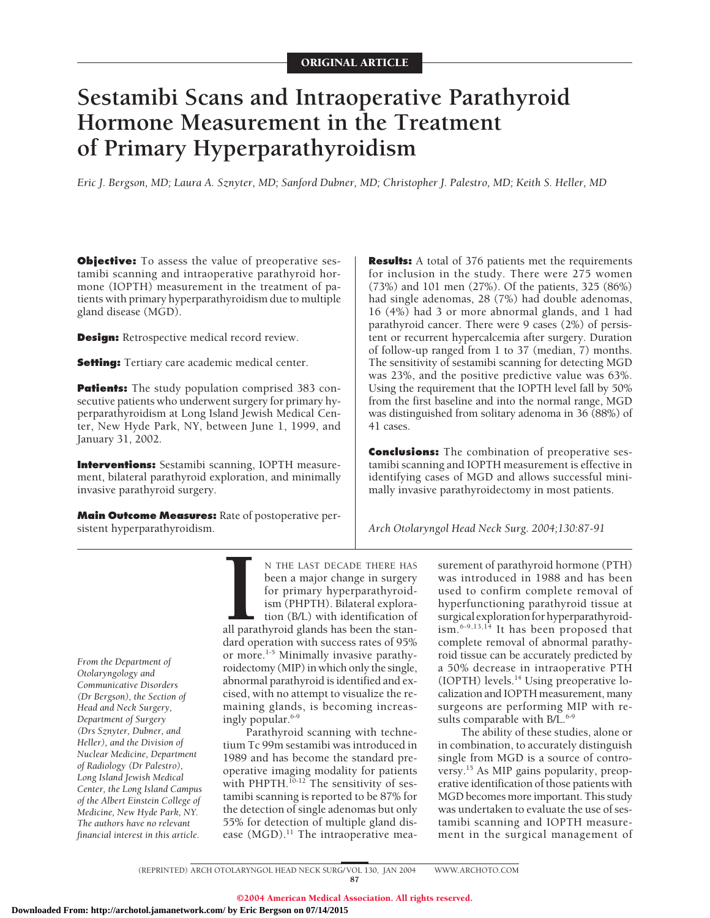# **Sestamibi Scans and Intraoperative Parathyroid Hormone Measurement in the Treatment of Primary Hyperparathyroidism**

*Eric J. Bergson, MD; Laura A. Sznyter, MD; Sanford Dubner, MD; Christopher J. Palestro, MD; Keith S. Heller, MD*

**Objective:** To assess the value of preoperative sestamibi scanning and intraoperative parathyroid hormone (IOPTH) measurement in the treatment of patients with primary hyperparathyroidism due to multiple gland disease (MGD).

**Design:** Retrospective medical record review.

**Setting:** Tertiary care academic medical center.

**Patients:** The study population comprised 383 consecutive patients who underwent surgery for primary hyperparathyroidism at Long Island Jewish Medical Center, New Hyde Park, NY, between June 1, 1999, and January 31, 2002.

**Interventions:** Sestamibi scanning, IOPTH measurement, bilateral parathyroid exploration, and minimally invasive parathyroid surgery.

**Main Outcome Measures:** Rate of postoperative persistent hyperparathyroidism.

**Results:** A total of 376 patients met the requirements for inclusion in the study. There were 275 women (73%) and 101 men (27%). Of the patients, 325 (86%) had single adenomas, 28 (7%) had double adenomas, 16 (4%) had 3 or more abnormal glands, and 1 had parathyroid cancer. There were 9 cases (2%) of persistent or recurrent hypercalcemia after surgery. Duration of follow-up ranged from 1 to 37 (median, 7) months. The sensitivity of sestamibi scanning for detecting MGD was 23%, and the positive predictive value was 63%. Using the requirement that the IOPTH level fall by 50% from the first baseline and into the normal range, MGD was distinguished from solitary adenoma in 36 (88%) of 41 cases.

**Conclusions:** The combination of preoperative sestamibi scanning and IOPTH measurement is effective in identifying cases of MGD and allows successful minimally invasive parathyroidectomy in most patients.

*Arch Otolaryngol Head Neck Surg. 2004;130:87-91*

*From the Department of Otolaryngology and Communicative Disorders (Dr Bergson), the Section of Head and Neck Surgery, Department of Surgery (Drs Sznyter, Dubner, and Heller), and the Division of Nuclear Medicine, Department of Radiology (Dr Palestro), Long Island Jewish Medical Center, the Long Island Campus of the Albert Einstein College of Medicine, New Hyde Park, NY. The authors have no relevant financial interest in this article.*

N THE LAST DECADE THERE HAS been a major change in surgery for primary hyperparathyroidism (PHPTH). Bilateral exploration (B/L) with identification of

**I** all parathyroid glands has been the standard operation with success rates of 95% or more.<sup>1-5</sup> Minimally invasive parathyroidectomy (MIP) in which only the single, abnormal parathyroid is identified and excised, with no attempt to visualize the remaining glands, is becoming increasingly popular.<sup>6-9</sup>

Parathyroid scanning with technetium Tc 99m sestamibi was introduced in 1989 and has become the standard preoperative imaging modality for patients with PHPTH.<sup>10-12</sup> The sensitivity of sestamibi scanning is reported to be 87% for the detection of single adenomas but only 55% for detection of multiple gland disease  $(MGD).$ <sup>11</sup> The intraoperative measurement of parathyroid hormone (PTH) was introduced in 1988 and has been used to confirm complete removal of hyperfunctioning parathyroid tissue at surgical exploration for hyperparathyroidism.6-9,13,14 It has been proposed that complete removal of abnormal parathyroid tissue can be accurately predicted by a 50% decrease in intraoperative PTH (IOPTH) levels.14 Using preoperative localization and IOPTH measurement, many surgeons are performing MIP with results comparable with B/L.<sup>6-9</sup>

The ability of these studies, alone or in combination, to accurately distinguish single from MGD is a source of controversy.<sup>15</sup> As MIP gains popularity, preoperative identification of those patients with MGD becomes more important. This study was undertaken to evaluate the use of sestamibi scanning and IOPTH measurement in the surgical management of

(REPRINTED) ARCH OTOLARYNGOL HEAD NECK SURG/ VOL 130, JAN 2004 WWW.ARCHOTO.COM 87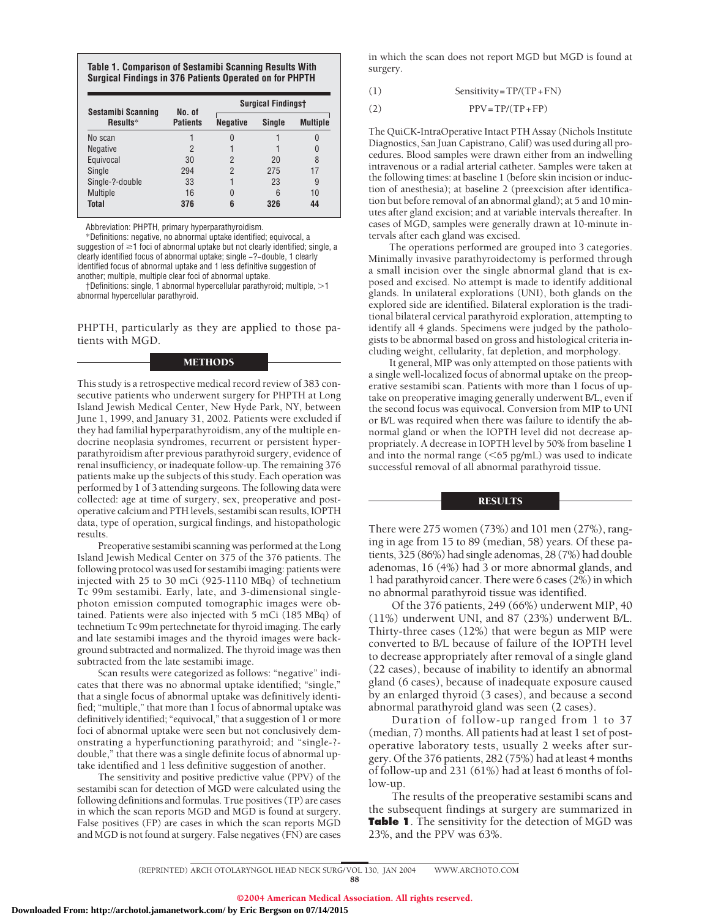## **Table 1. Comparison of Sestamibi Scanning Results With Surgical Findings in 376 Patients Operated on for PHPTH**

|                                       | No. of          | <b>Surgical Findingst</b> |        |                 |  |
|---------------------------------------|-----------------|---------------------------|--------|-----------------|--|
| <b>Sestamibi Scanning</b><br>Results* | <b>Patients</b> | <b>Negative</b>           | Single | <b>Multiple</b> |  |
| No scan                               |                 | 0                         |        |                 |  |
| <b>Negative</b>                       | $\overline{2}$  |                           |        |                 |  |
| Equivocal                             | 30              | $\mathcal{P}$             | 20     | 8               |  |
| Single                                | 294             | 2                         | 275    | 17              |  |
| Single-?-double                       | 33              |                           | 23     | 9               |  |
| Multiple                              | 16              | 0                         | 6      | 10              |  |
| <b>Total</b>                          | 376             | 6                         | 326    | 44              |  |

Abbreviation: PHPTH, primary hyperparathyroidism.

\*Definitions: negative, no abnormal uptake identified; equivocal, a suggestion of  $\geq$ 1 foci of abnormal uptake but not clearly identified; single, a clearly identified focus of abnormal uptake; single −?−double, 1 clearly identified focus of abnormal uptake and 1 less definitive suggestion of another; multiple, multiple clear foci of abnormal uptake.

†Definitions: single, 1 abnormal hypercellular parathyroid; multiple, 1 abnormal hypercellular parathyroid.

PHPTH, particularly as they are applied to those patients with MGD.

# METHODS

This study is a retrospective medical record review of 383 consecutive patients who underwent surgery for PHPTH at Long Island Jewish Medical Center, New Hyde Park, NY, between June 1, 1999, and January 31, 2002. Patients were excluded if they had familial hyperparathyroidism, any of the multiple endocrine neoplasia syndromes, recurrent or persistent hyperparathyroidism after previous parathyroid surgery, evidence of renal insufficiency, or inadequate follow-up. The remaining 376 patients make up the subjects of this study. Each operation was performed by 1 of 3 attending surgeons. The following data were collected: age at time of surgery, sex, preoperative and postoperative calcium and PTH levels, sestamibi scan results, IOPTH data, type of operation, surgical findings, and histopathologic results.

Preoperative sestamibi scanning was performed at the Long Island Jewish Medical Center on 375 of the 376 patients. The following protocol was used for sestamibi imaging: patients were injected with 25 to 30 mCi (925-1110 MBq) of technetium Tc 99m sestamibi. Early, late, and 3-dimensional singlephoton emission computed tomographic images were obtained. Patients were also injected with 5 mCi (185 MBq) of technetium Tc 99m pertechnetate for thyroid imaging. The early and late sestamibi images and the thyroid images were background subtracted and normalized. The thyroid image was then subtracted from the late sestamibi image.

Scan results were categorized as follows: "negative" indicates that there was no abnormal uptake identified; "single," that a single focus of abnormal uptake was definitively identified; "multiple," that more than 1 focus of abnormal uptake was definitively identified; "equivocal," that a suggestion of 1 or more foci of abnormal uptake were seen but not conclusively demonstrating a hyperfunctioning parathyroid; and "single-? double," that there was a single definite focus of abnormal uptake identified and 1 less definitive suggestion of another.

The sensitivity and positive predictive value (PPV) of the sestamibi scan for detection of MGD were calculated using the following definitions and formulas. True positives (TP) are cases in which the scan reports MGD and MGD is found at surgery. False positives (FP) are cases in which the scan reports MGD and MGD is not found at surgery. False negatives (FN) are cases

in which the scan does not report MGD but MGD is found at surgery.

$$
(1) \t\t\t\tSensitivity = TP/(TP + FN)
$$

(2)  $PPV = TP/(TP + FP)$ 

The QuiCK-IntraOperative Intact PTH Assay (Nichols Institute Diagnostics, San Juan Capistrano, Calif) was used during all procedures. Blood samples were drawn either from an indwelling intravenous or a radial arterial catheter. Samples were taken at the following times: at baseline 1 (before skin incision or induction of anesthesia); at baseline 2 (preexcision after identification but before removal of an abnormal gland); at 5 and 10 minutes after gland excision; and at variable intervals thereafter. In cases of MGD, samples were generally drawn at 10-minute intervals after each gland was excised.

The operations performed are grouped into 3 categories. Minimally invasive parathyroidectomy is performed through a small incision over the single abnormal gland that is exposed and excised. No attempt is made to identify additional glands. In unilateral explorations (UNI), both glands on the explored side are identified. Bilateral exploration is the traditional bilateral cervical parathyroid exploration, attempting to identify all 4 glands. Specimens were judged by the pathologists to be abnormal based on gross and histological criteria including weight, cellularity, fat depletion, and morphology.

It general, MIP was only attempted on those patients with a single well-localized focus of abnormal uptake on the preoperative sestamibi scan. Patients with more than 1 focus of uptake on preoperative imaging generally underwent B/L, even if the second focus was equivocal. Conversion from MIP to UNI or B/L was required when there was failure to identify the abnormal gland or when the IOPTH level did not decrease appropriately. A decrease in IOPTH level by 50% from baseline 1 and into the normal range  $(<\,65 \text{ pg/mL})$  was used to indicate successful removal of all abnormal parathyroid tissue.

### **RESULTS**

There were 275 women (73%) and 101 men (27%), ranging in age from 15 to 89 (median, 58) years. Of these patients, 325 (86%) had single adenomas, 28 (7%) had double adenomas, 16 (4%) had 3 or more abnormal glands, and 1 had parathyroid cancer. There were 6 cases (2%) in which no abnormal parathyroid tissue was identified.

Of the 376 patients, 249 (66%) underwent MIP, 40 (11%) underwent UNI, and 87 (23%) underwent B/L. Thirty-three cases (12%) that were begun as MIP were converted to B/L because of failure of the IOPTH level to decrease appropriately after removal of a single gland (22 cases), because of inability to identify an abnormal gland (6 cases), because of inadequate exposure caused by an enlarged thyroid (3 cases), and because a second abnormal parathyroid gland was seen (2 cases).

Duration of follow-up ranged from 1 to 37 (median, 7) months. All patients had at least 1 set of postoperative laboratory tests, usually 2 weeks after surgery. Of the 376 patients, 282 (75%) had at least 4 months of follow-up and 231 (61%) had at least 6 months of follow-up.

The results of the preoperative sestamibi scans and the subsequent findings at surgery are summarized in **Table 1**. The sensitivity for the detection of MGD was 23%, and the PPV was 63%.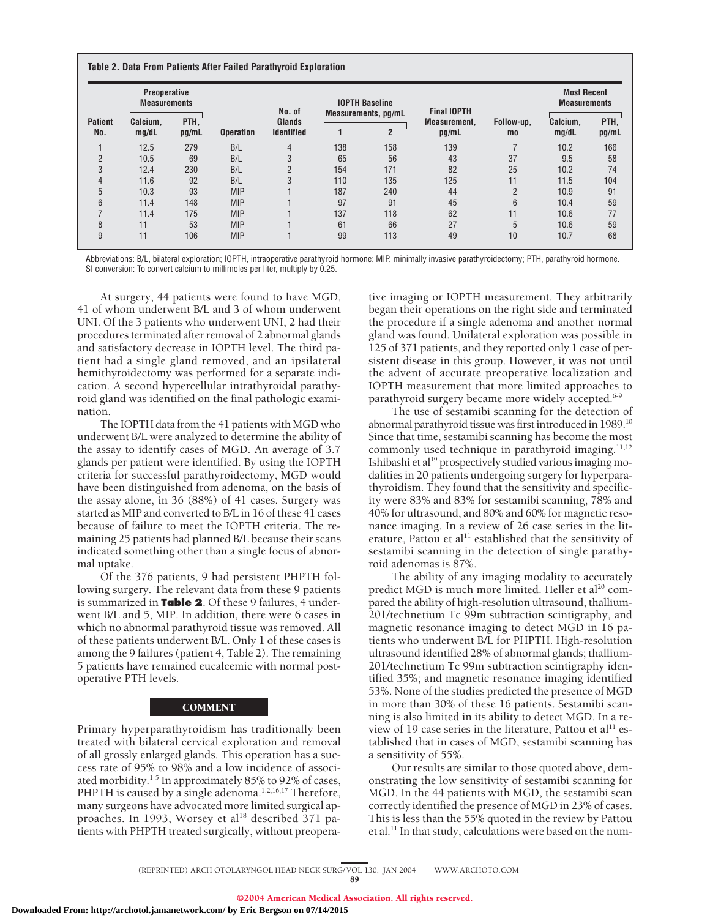| <b>Patient</b><br>No. | <b>Preoperative</b><br><b>Measurements</b> |               |                  | No. of                      | <b>IOPTH Baseline</b> |                | <b>Final IOPTH</b> |            | <b>Most Recent</b><br><b>Measurements</b> |       |
|-----------------------|--------------------------------------------|---------------|------------------|-----------------------------|-----------------------|----------------|--------------------|------------|-------------------------------------------|-------|
|                       | Calcium,<br>mq/dL                          | PTH.<br>pg/mL | <b>Operation</b> | Glands<br><b>Identified</b> | Measurements, pg/mL   |                | Measurement.       | Follow-up, | Calcium,                                  | PTH.  |
|                       |                                            |               |                  |                             |                       | $\overline{2}$ | pg/mL              | mo         | mq/dL                                     | pg/mL |
|                       | 12.5                                       | 279           | B/L              | $\overline{4}$              | 138                   | 158            | 139                |            | 10.2                                      | 166   |
| $\overline{2}$        | 10.5                                       | 69            | B/L              | 3                           | 65                    | 56             | 43                 | 37         | 9.5                                       | 58    |
| 3                     | 12.4                                       | 230           | B/L              | $\overline{2}$              | 154                   | 171            | 82                 | 25         | 10.2                                      | 74    |
| 4                     | 11.6                                       | 92            | B/L              | 3                           | 110                   | 135            | 125                | 11         | 11.5                                      | 104   |
| 5                     | 10.3                                       | 93            | <b>MIP</b>       |                             | 187                   | 240            | 44                 | 2          | 10.9                                      | 91    |
| 6                     | 11.4                                       | 148           | <b>MIP</b>       |                             | 97                    | 91             | 45                 | 6          | 10.4                                      | 59    |
|                       | 11.4                                       | 175           | <b>MIP</b>       |                             | 137                   | 118            | 62                 | 11         | 10.6                                      | 77    |
| 8                     | 11                                         | 53            | <b>MIP</b>       |                             | 61                    | 66             | 27                 | 5          | 10.6                                      | 59    |
| 9                     | 11                                         | 106           | <b>MIP</b>       |                             | 99                    | 113            | 49                 | 10         | 10.7                                      | 68    |

Abbreviations: B/L, bilateral exploration; IOPTH, intraoperative parathyroid hormone; MIP, minimally invasive parathyroidectomy; PTH, parathyroid hormone. SI conversion: To convert calcium to millimoles per liter, multiply by 0.25.

At surgery, 44 patients were found to have MGD, 41 of whom underwent B/L and 3 of whom underwent UNI. Of the 3 patients who underwent UNI, 2 had their procedures terminated after removal of 2 abnormal glands and satisfactory decrease in IOPTH level. The third patient had a single gland removed, and an ipsilateral hemithyroidectomy was performed for a separate indication. A second hypercellular intrathyroidal parathyroid gland was identified on the final pathologic examination.

The IOPTH data from the 41 patients with MGD who underwent B/L were analyzed to determine the ability of the assay to identify cases of MGD. An average of 3.7 glands per patient were identified. By using the IOPTH criteria for successful parathyroidectomy, MGD would have been distinguished from adenoma, on the basis of the assay alone, in 36 (88%) of 41 cases. Surgery was started as MIP and converted to B/L in 16 of these 41 cases because of failure to meet the IOPTH criteria. The remaining 25 patients had planned B/L because their scans indicated something other than a single focus of abnormal uptake.

Of the 376 patients, 9 had persistent PHPTH following surgery. The relevant data from these 9 patients is summarized in **Table 2**. Of these 9 failures, 4 underwent B/L and 5, MIP. In addition, there were 6 cases in which no abnormal parathyroid tissue was removed. All of these patients underwent B/L. Only 1 of these cases is among the 9 failures (patient 4, Table 2). The remaining 5 patients have remained eucalcemic with normal postoperative PTH levels.

# **COMMENT**

Primary hyperparathyroidism has traditionally been treated with bilateral cervical exploration and removal of all grossly enlarged glands. This operation has a success rate of 95% to 98% and a low incidence of associated morbidity.<sup>1-5</sup> In approximately 85% to 92% of cases, PHPTH is caused by a single adenoma.<sup>1,2,16,17</sup> Therefore, many surgeons have advocated more limited surgical approaches. In 1993, Worsey et al<sup>18</sup> described 371 patients with PHPTH treated surgically, without preoperative imaging or IOPTH measurement. They arbitrarily began their operations on the right side and terminated the procedure if a single adenoma and another normal gland was found. Unilateral exploration was possible in 125 of 371 patients, and they reported only 1 case of persistent disease in this group. However, it was not until the advent of accurate preoperative localization and IOPTH measurement that more limited approaches to parathyroid surgery became more widely accepted.<sup>6-9</sup>

The use of sestamibi scanning for the detection of abnormal parathyroid tissue was first introduced in 1989.10 Since that time, sestamibi scanning has become the most commonly used technique in parathyroid imaging. $11,12$ Ishibashi et al<sup>19</sup> prospectively studied various imaging modalities in 20 patients undergoing surgery for hyperparathyroidism. They found that the sensitivity and specificity were 83% and 83% for sestamibi scanning, 78% and 40% for ultrasound, and 80% and 60% for magnetic resonance imaging. In a review of 26 case series in the literature, Pattou et al<sup>11</sup> established that the sensitivity of sestamibi scanning in the detection of single parathyroid adenomas is 87%.

The ability of any imaging modality to accurately predict MGD is much more limited. Heller et al<sup>20</sup> compared the ability of high-resolution ultrasound, thallium-201/technetium Tc 99m subtraction scintigraphy, and magnetic resonance imaging to detect MGD in 16 patients who underwent B/L for PHPTH. High-resolution ultrasound identified 28% of abnormal glands; thallium-201/technetium Tc 99m subtraction scintigraphy identified 35%; and magnetic resonance imaging identified 53%. None of the studies predicted the presence of MGD in more than 30% of these 16 patients. Sestamibi scanning is also limited in its ability to detect MGD. In a review of 19 case series in the literature, Pattou et al<sup>11</sup> established that in cases of MGD, sestamibi scanning has a sensitivity of 55%.

Our results are similar to those quoted above, demonstrating the low sensitivity of sestamibi scanning for MGD. In the 44 patients with MGD, the sestamibi scan correctly identified the presence of MGD in 23% of cases. This is less than the 55% quoted in the review by Pattou et al.11 In that study, calculations were based on the num-

<sup>(</sup>REPRINTED) ARCH OTOLARYNGOL HEAD NECK SURG/ VOL 130, JAN 2004 WWW.ARCHOTO.COM 89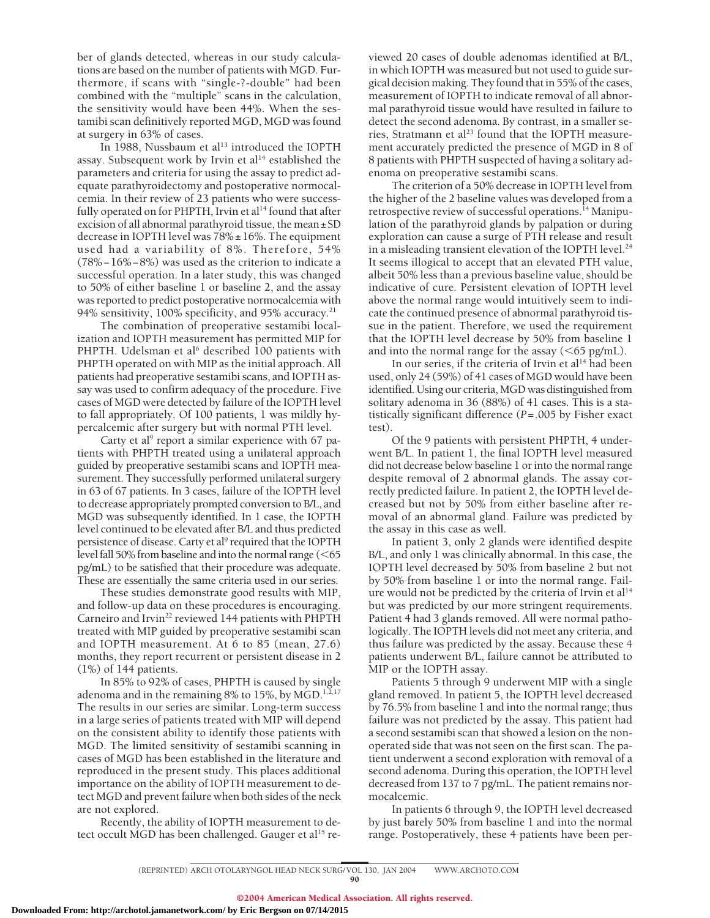ber of glands detected, whereas in our study calculations are based on the number of patients with MGD. Furthermore, if scans with "single-?-double" had been combined with the "multiple" scans in the calculation, the sensitivity would have been 44%. When the sestamibi scan definitively reported MGD, MGD was found at surgery in 63% of cases.

In 1988, Nussbaum et al<sup>13</sup> introduced the IOPTH assay. Subsequent work by Irvin et  $al<sup>14</sup>$  established the parameters and criteria for using the assay to predict adequate parathyroidectomy and postoperative normocalcemia. In their review of 23 patients who were successfully operated on for PHPTH, Irvin et  $al<sup>14</sup>$  found that after excision of all abnormal parathyroid tissue, the mean±SD decrease in IOPTH level was  $78\% \pm 16\%$ . The equipment used had a variability of 8%. Therefore, 54% (78%−16%−8%) was used as the criterion to indicate a successful operation. In a later study, this was changed to 50% of either baseline 1 or baseline 2, and the assay was reported to predict postoperative normocalcemia with 94% sensitivity, 100% specificity, and 95% accuracy. $21$ 

The combination of preoperative sestamibi localization and IOPTH measurement has permitted MIP for PHPTH. Udelsman et al<sup>6</sup> described 100 patients with PHPTH operated on with MIP as the initial approach. All patients had preoperative sestamibi scans, and IOPTH assay was used to confirm adequacy of the procedure. Five cases of MGD were detected by failure of the IOPTH level to fall appropriately. Of 100 patients, 1 was mildly hypercalcemic after surgery but with normal PTH level.

Carty et al<sup>9</sup> report a similar experience with  $67$  patients with PHPTH treated using a unilateral approach guided by preoperative sestamibi scans and IOPTH measurement. They successfully performed unilateral surgery in 63 of 67 patients. In 3 cases, failure of the IOPTH level to decrease appropriately prompted conversion to B/L, and MGD was subsequently identified. In 1 case, the IOPTH level continued to be elevated after B/L and thus predicted persistence of disease. Carty et al<sup>9</sup> required that the IOPTH level fall 50% from baseline and into the normal range  $(<$ 65 pg/mL) to be satisfied that their procedure was adequate. These are essentially the same criteria used in our series.

These studies demonstrate good results with MIP, and follow-up data on these procedures is encouraging. Carneiro and Irvin<sup>22</sup> reviewed 144 patients with PHPTH treated with MIP guided by preoperative sestamibi scan and IOPTH measurement. At 6 to 85 (mean, 27.6) months, they report recurrent or persistent disease in 2 (1%) of 144 patients.

In 85% to 92% of cases, PHPTH is caused by single adenoma and in the remaining 8% to 15%, by MGD.<sup>1, $\bar{2}$ ,17</sup> The results in our series are similar. Long-term success in a large series of patients treated with MIP will depend on the consistent ability to identify those patients with MGD. The limited sensitivity of sestamibi scanning in cases of MGD has been established in the literature and reproduced in the present study. This places additional importance on the ability of IOPTH measurement to detect MGD and prevent failure when both sides of the neck are not explored.

Recently, the ability of IOPTH measurement to detect occult MGD has been challenged. Gauger et al<sup>15</sup> re-

viewed 20 cases of double adenomas identified at B/L, in which IOPTH was measured but not used to guide surgical decision making. They found that in 55% of the cases, measurement of IOPTH to indicate removal of all abnormal parathyroid tissue would have resulted in failure to detect the second adenoma. By contrast, in a smaller series, Stratmann et al<sup>23</sup> found that the IOPTH measurement accurately predicted the presence of MGD in 8 of 8 patients with PHPTH suspected of having a solitary adenoma on preoperative sestamibi scans.

The criterion of a 50% decrease in IOPTH level from the higher of the 2 baseline values was developed from a retrospective review of successful operations.<sup>14</sup> Manipulation of the parathyroid glands by palpation or during exploration can cause a surge of PTH release and result in a misleading transient elevation of the IOPTH level. $^{24}$ It seems illogical to accept that an elevated PTH value, albeit 50% less than a previous baseline value, should be indicative of cure. Persistent elevation of IOPTH level above the normal range would intuitively seem to indicate the continued presence of abnormal parathyroid tissue in the patient. Therefore, we used the requirement that the IOPTH level decrease by 50% from baseline 1 and into the normal range for the assay  $(<\,65 \text{ pg/mL})$ .

In our series, if the criteria of Irvin et al<sup>14</sup> had been used, only 24 (59%) of 41 cases of MGD would have been identified. Using our criteria, MGD was distinguished from solitary adenoma in 36 (88%) of 41 cases. This is a statistically significant difference (*P*=.005 by Fisher exact test).

Of the 9 patients with persistent PHPTH, 4 underwent B/L. In patient 1, the final IOPTH level measured did not decrease below baseline 1 or into the normal range despite removal of 2 abnormal glands. The assay correctly predicted failure. In patient 2, the IOPTH level decreased but not by 50% from either baseline after removal of an abnormal gland. Failure was predicted by the assay in this case as well.

In patient 3, only 2 glands were identified despite B/L, and only 1 was clinically abnormal. In this case, the IOPTH level decreased by 50% from baseline 2 but not by 50% from baseline 1 or into the normal range. Failure would not be predicted by the criteria of Irvin et  $al<sup>14</sup>$ but was predicted by our more stringent requirements. Patient 4 had 3 glands removed. All were normal pathologically. The IOPTH levels did not meet any criteria, and thus failure was predicted by the assay. Because these 4 patients underwent B/L, failure cannot be attributed to MIP or the IOPTH assay.

Patients 5 through 9 underwent MIP with a single gland removed. In patient 5, the IOPTH level decreased by 76.5% from baseline 1 and into the normal range; thus failure was not predicted by the assay. This patient had a second sestamibi scan that showed a lesion on the nonoperated side that was not seen on the first scan. The patient underwent a second exploration with removal of a second adenoma. During this operation, the IOPTH level decreased from 137 to 7 pg/mL. The patient remains normocalcemic.

In patients 6 through 9, the IOPTH level decreased by just barely 50% from baseline 1 and into the normal range. Postoperatively, these 4 patients have been per